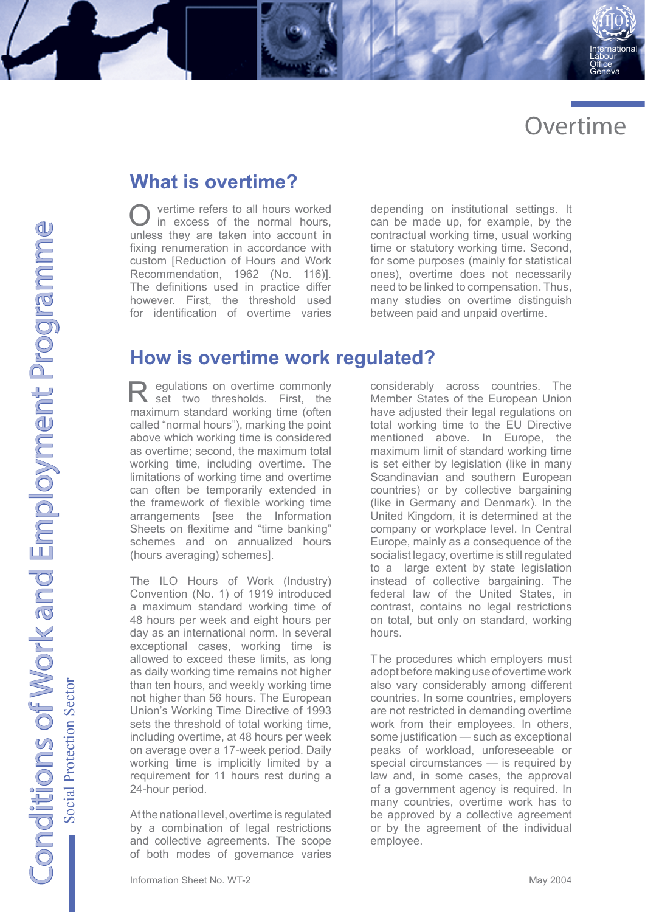

International Labour Office Geneva

## **What is overtime?**

O vertime refers to all hours worked in excess of the normal hours, unless they are taken into account in fixing renumeration in accordance with custom [Reduction of Hours and Work Recommendation, 1962 (No. 116)]. The definitions used in practice differ however. First, the threshold used for identification of overtime varies

depending on institutional settings. It can be made up, for example, by the contractual working time, usual working time or statutory working time. Second, for some purposes (mainly for statistical ones), overtime does not necessarily need to be linked to compensation. Thus, many studies on overtime distinguish between paid and unpaid overtime.

## **How is overtime work regulated?**

R egulations on overtime commonly set two thresholds. First, the maximum standard working time (often called "normal hours"), marking the point above which working time is considered as overtime; second, the maximum total working time, including overtime. The limitations of working time and overtime can often be temporarily extended in the framework of flexible working time arrangements [see the Information Sheets on flexitime and "time banking" schemes and on annualized hours (hours averaging) schemes].

The ILO Hours of Work (Industry) Convention (No. 1) of 1919 introduced a maximum standard working time of 48 hours per week and eight hours per day as an international norm. In several exceptional cases, working time is allowed to exceed these limits, as long as daily working time remains not higher than ten hours, and weekly working time not higher than 56 hours. The European Union's Working Time Directive of 1993 sets the threshold of total working time, including overtime, at 48 hours per week on average over a 17-week period. Daily working time is implicitly limited by a requirement for 11 hours rest during a 24-hour period.

At the national level, overtime is regulated by a combination of legal restrictions and collective agreements. The scope of both modes of governance varies

considerably across countries. The Member States of the European Union have adjusted their legal regulations on total working time to the EU Directive mentioned above. In Europe, the maximum limit of standard working time is set either by legislation (like in many Scandinavian and southern European countries) or by collective bargaining (like in Germany and Denmark). In the United Kingdom, it is determined at the company or workplace level. In Central Europe, mainly as a consequence of the socialist legacy, overtime is still regulated to a large extent by state legislation instead of collective bargaining. The federal law of the United States, in contrast, contains no legal restrictions on total, but only on standard, working hours.

T he procedures which employers must adopt before making use of overtime work also vary considerably among different countries. In some countries, employers are not restricted in demanding overtime work from their employees. In others, some justification — such as exceptional peaks of workload, unforeseeable or special circumstances — is required by law and, in some cases, the approval of a government agency is required. In many countries, overtime work has to be approved by a collective agreement or by the agreement of the individual employee.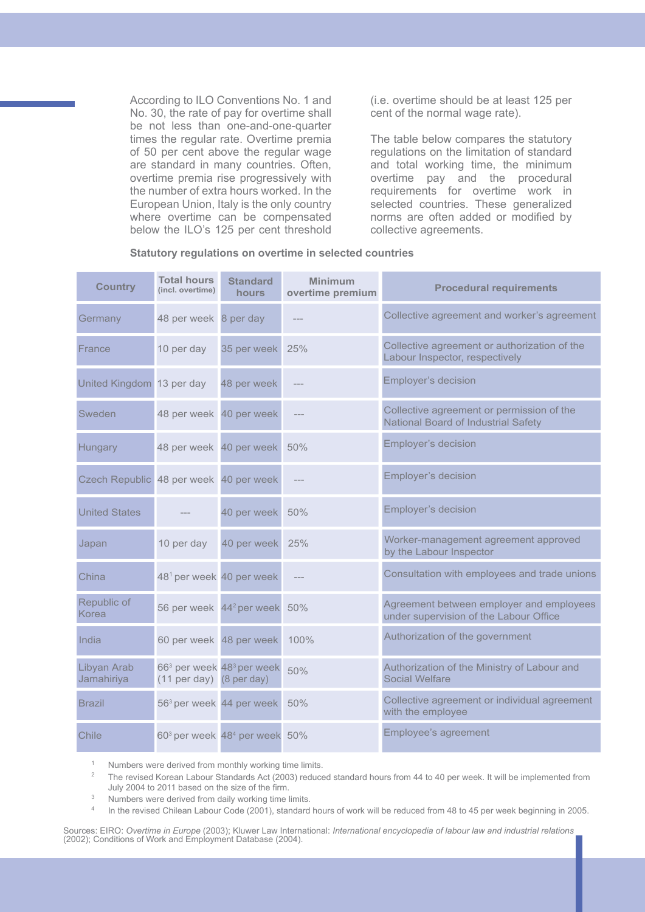According to ILO Conventions No. 1 and No. 30, the rate of pay for overtime shall be not less than one-and-one-quarter times the regular rate. Overtime premia of 50 per cent above the regular wage are standard in many countries. Often, overtime premia rise progressively with the number of extra hours worked. In the European Union, Italy is the only country where overtime can be compensated below the ILO's 125 per cent threshold (i.e. overtime should be at least 125 per cent of the normal wage rate).

The table below compares the statutory regulations on the limitation of standard and total working time, the minimum overtime pay and the procedural requirements for overtime work in selected countries. These generalized norms are often added or modified by collective agreements.

#### **Statutory regulations on overtime in selected countries**

| <b>Country</b>                         | <b>Total hours</b><br>(incl. overtime) | <b>Standard</b><br><b>hours</b>                       | <b>Minimum</b><br>overtime premium | <b>Procedural requirements</b>                                                     |
|----------------------------------------|----------------------------------------|-------------------------------------------------------|------------------------------------|------------------------------------------------------------------------------------|
| Germany                                | 48 per week 8 per day                  |                                                       |                                    | Collective agreement and worker's agreement                                        |
| France                                 | 10 per day                             | 35 per week                                           | 25%                                | Collective agreement or authorization of the<br>Labour Inspector, respectively     |
| United Kingdom 13 per day              |                                        | 48 per week                                           |                                    | Employer's decision                                                                |
| Sweden                                 | 48 per week 40 per week                |                                                       |                                    | Collective agreement or permission of the<br>National Board of Industrial Safety   |
| Hungary                                | 48 per week 40 per week                |                                                       | 50%                                | Employer's decision                                                                |
| Czech Republic 48 per week 40 per week |                                        |                                                       |                                    | Employer's decision                                                                |
| <b>United States</b>                   |                                        | 40 per week                                           | 50%                                | Employer's decision                                                                |
| Japan                                  | 10 per day                             | 40 per week                                           | 25%                                | Worker-management agreement approved<br>by the Labour Inspector                    |
| China                                  | 48 <sup>1</sup> per week 40 per week   |                                                       |                                    | Consultation with employees and trade unions                                       |
| Republic of<br>Korea                   |                                        | 56 per week 44 <sup>2</sup> per week                  | 50%                                | Agreement between employer and employees<br>under supervision of the Labour Office |
| India                                  | 60 per week 48 per week                |                                                       | 100%                               | Authorization of the government                                                    |
| Libyan Arab<br>Jamahiriya              | $(11$ per day) $(8$ per day)           | 66 <sup>3</sup> per week 48 <sup>3</sup> per week     | 50%                                | Authorization of the Ministry of Labour and<br><b>Social Welfare</b>               |
| <b>Brazil</b>                          | 56 <sup>3</sup> per week 44 per week   |                                                       | 50%                                | Collective agreement or individual agreement<br>with the employee                  |
| Chile                                  |                                        | 60 <sup>3</sup> per week 48 <sup>4</sup> per week 50% |                                    | Employee's agreement                                                               |

<sup>1</sup> Numbers were derived from monthly working time limits.

<sup>2</sup> The revised Korean Labour Standards Act (2003) reduced standard hours from 44 to 40 per week. It will be implemented from July 2004 to 2011 based on the size of the firm.

<sup>3</sup> Numbers were derived from daily working time limits.<br> $\frac{4}{10}$  in the revised Chilean Labour Code (2001), standard

In the revised Chilean Labour Code (2001), standard hours of work will be reduced from 48 to 45 per week beginning in 2005.

Sources: EIRO: *Overtime in Europe* (2003); Kluwer Law International: *International encyclopedia of labour law and industrial relations*  (2002); Conditions of Work and Employment Database (2004).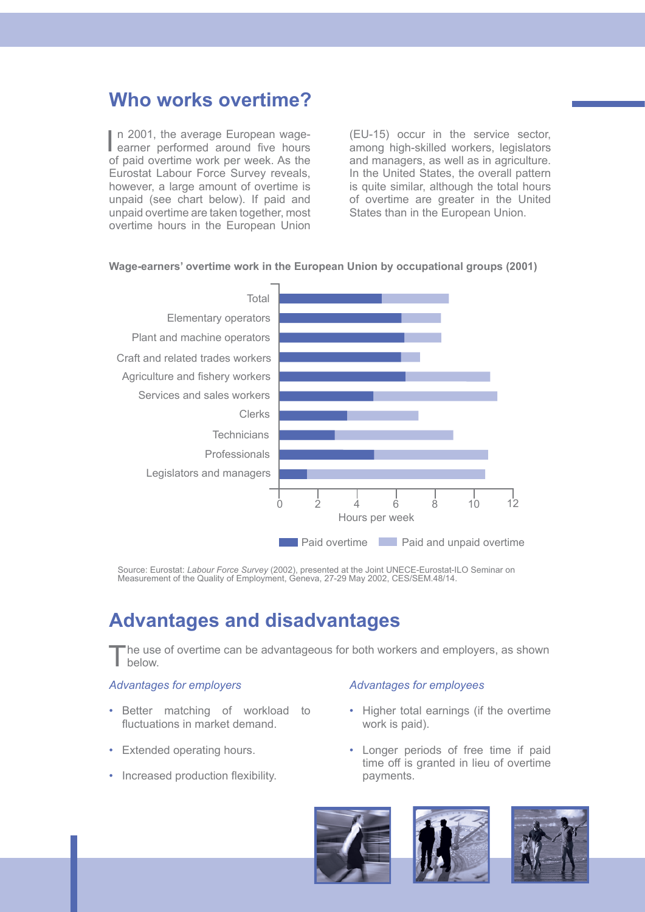# **Who works overtime?**

In 2001, the average European wage-<br>
earner performed around five hours n 2001, the average European wageof paid overtime work per week. As the Eurostat Labour Force Survey reveals, however, a large amount of overtime is unpaid (see chart below). If paid and unpaid overtime are taken together, most overtime hours in the European Union

(EU-15) occur in the service sector, among high-skilled workers, legislators and managers, as well as in agriculture. In the United States, the overall pattern is quite similar, although the total hours of overtime are greater in the United States than in the European Union.



### **Wage-earners' overtime work in the European Union by occupational groups (2001)**

Source: Eurostat: *Labour Force Survey* (2002), presented at the Joint UNECE-Eurostat-ILO Seminar on Measurement of the Quality of Employment, Geneva, 27-29 May 2002, CES/SEM.48/14.

# **Advantages and disadvantages**

The use of overtime can be advantageous for both workers and employers, as shown below.

### *Advantages for employers*

- Better matching of workload to fluctuations in market demand.
- Extended operating hours.
- Increased production flexibility.

### *Advantages for employees*

- Higher total earnings (if the overtime work is paid).
- Longer periods of free time if paid time off is granted in lieu of overtime payments.